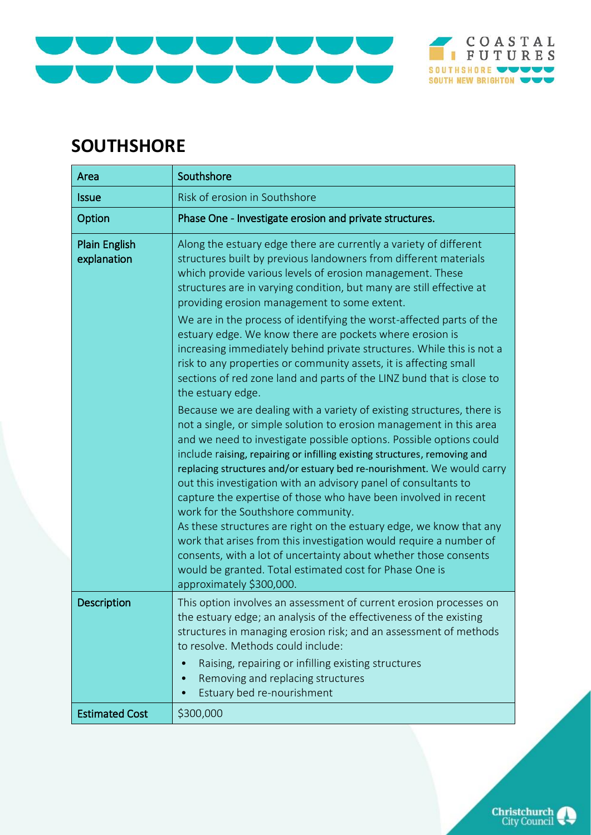## COASTAL<br>FUTURES SOUTHSHORE WWWW SOUTH NEW BRIGHTON

## **SOUTHSHORE**

| Area                                | Southshore                                                                                                                                                                                                                                                                                                                                                                                                                                                                                                                                                                                                                                                                                                                                                                                                                                                                                                                                                                                                                                                                                                                                                                                                                                                                                                                                                                                                                                                                             |
|-------------------------------------|----------------------------------------------------------------------------------------------------------------------------------------------------------------------------------------------------------------------------------------------------------------------------------------------------------------------------------------------------------------------------------------------------------------------------------------------------------------------------------------------------------------------------------------------------------------------------------------------------------------------------------------------------------------------------------------------------------------------------------------------------------------------------------------------------------------------------------------------------------------------------------------------------------------------------------------------------------------------------------------------------------------------------------------------------------------------------------------------------------------------------------------------------------------------------------------------------------------------------------------------------------------------------------------------------------------------------------------------------------------------------------------------------------------------------------------------------------------------------------------|
| <b>Issue</b>                        | Risk of erosion in Southshore                                                                                                                                                                                                                                                                                                                                                                                                                                                                                                                                                                                                                                                                                                                                                                                                                                                                                                                                                                                                                                                                                                                                                                                                                                                                                                                                                                                                                                                          |
| Option                              | Phase One - Investigate erosion and private structures.                                                                                                                                                                                                                                                                                                                                                                                                                                                                                                                                                                                                                                                                                                                                                                                                                                                                                                                                                                                                                                                                                                                                                                                                                                                                                                                                                                                                                                |
| <b>Plain English</b><br>explanation | Along the estuary edge there are currently a variety of different<br>structures built by previous landowners from different materials<br>which provide various levels of erosion management. These<br>structures are in varying condition, but many are still effective at<br>providing erosion management to some extent.<br>We are in the process of identifying the worst-affected parts of the<br>estuary edge. We know there are pockets where erosion is<br>increasing immediately behind private structures. While this is not a<br>risk to any properties or community assets, it is affecting small<br>sections of red zone land and parts of the LINZ bund that is close to<br>the estuary edge.<br>Because we are dealing with a variety of existing structures, there is<br>not a single, or simple solution to erosion management in this area<br>and we need to investigate possible options. Possible options could<br>include raising, repairing or infilling existing structures, removing and<br>replacing structures and/or estuary bed re-nourishment. We would carry<br>out this investigation with an advisory panel of consultants to<br>capture the expertise of those who have been involved in recent<br>work for the Southshore community.<br>As these structures are right on the estuary edge, we know that any<br>work that arises from this investigation would require a number of<br>consents, with a lot of uncertainty about whether those consents |
|                                     | would be granted. Total estimated cost for Phase One is<br>approximately \$300,000.                                                                                                                                                                                                                                                                                                                                                                                                                                                                                                                                                                                                                                                                                                                                                                                                                                                                                                                                                                                                                                                                                                                                                                                                                                                                                                                                                                                                    |
| <b>Description</b>                  | This option involves an assessment of current erosion processes on<br>the estuary edge; an analysis of the effectiveness of the existing<br>structures in managing erosion risk; and an assessment of methods<br>to resolve. Methods could include:<br>Raising, repairing or infilling existing structures<br>Removing and replacing structures<br>$\bullet$<br>Estuary bed re-nourishment                                                                                                                                                                                                                                                                                                                                                                                                                                                                                                                                                                                                                                                                                                                                                                                                                                                                                                                                                                                                                                                                                             |
| <b>Estimated Cost</b>               | \$300,000                                                                                                                                                                                                                                                                                                                                                                                                                                                                                                                                                                                                                                                                                                                                                                                                                                                                                                                                                                                                                                                                                                                                                                                                                                                                                                                                                                                                                                                                              |